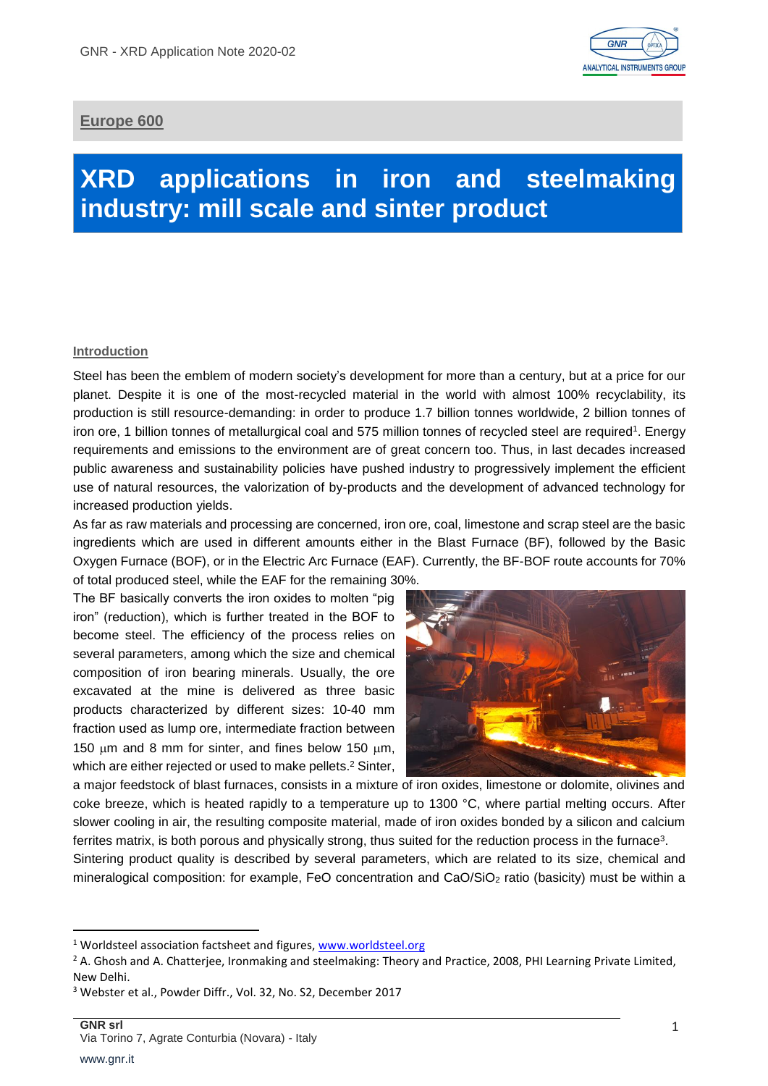

# **Europe 600**

# **XRD applications in iron and steelmaking industry: mill scale and sinter product**

# **Introduction**

Steel has been the emblem of modern society's development for more than a century, but at a price for our planet. Despite it is one of the most-recycled material in the world with almost 100% recyclability, its production is still resource-demanding: in order to produce 1.7 billion tonnes worldwide, 2 billion tonnes of iron ore, 1 billion tonnes of metallurgical coal and 575 million tonnes of recycled steel are required 1 . Energy requirements and emissions to the environment are of great concern too. Thus, in last decades increased public awareness and sustainability policies have pushed industry to progressively implement the efficient use of natural resources, the valorization of by-products and the development of advanced technology for increased production yields.

As far as raw materials and processing are concerned, iron ore, coal, limestone and scrap steel are the basic ingredients which are used in different amounts either in the Blast Furnace (BF), followed by the Basic Oxygen Furnace (BOF), or in the Electric Arc Furnace (EAF). Currently, the BF-BOF route accounts for 70% of total produced steel, while the EAF for the remaining 30%.

The BF basically converts the iron oxides to molten "pig iron" (reduction), which is further treated in the BOF to become steel. The efficiency of the process relies on several parameters, among which the size and chemical composition of iron bearing minerals. Usually, the ore excavated at the mine is delivered as three basic products characterized by different sizes: 10-40 mm fraction used as lump ore, intermediate fraction between 150  $\mu$ m and 8 mm for sinter, and fines below 150  $\mu$ m, which are either rejected or used to make pellets. <sup>2</sup> Sinter,



a major feedstock of blast furnaces, consists in a mixture of iron oxides, limestone or dolomite, olivines and coke breeze, which is heated rapidly to a temperature up to 1300 °C, where partial melting occurs. After slower cooling in air, the resulting composite material, made of iron oxides bonded by a silicon and calcium ferrites matrix, is both porous and physically strong, thus suited for the reduction process in the furnace<sup>3</sup>. Sintering product quality is described by several parameters, which are related to its size, chemical and mineralogical composition: for example, FeO concentration and CaO/SiO<sup>2</sup> ratio (basicity) must be within a

**.** 

<sup>&</sup>lt;sup>1</sup> Worldsteel association factsheet and figures, [www.worldsteel.org](http://www.worldsteel.org/)

<sup>&</sup>lt;sup>2</sup> A. Ghosh and A. Chatterjee, Ironmaking and steelmaking: Theory and Practice, 2008, PHI Learning Private Limited, New Delhi.

<sup>3</sup> Webster et al., Powder Diffr., Vol. 32, No. S2, December 2017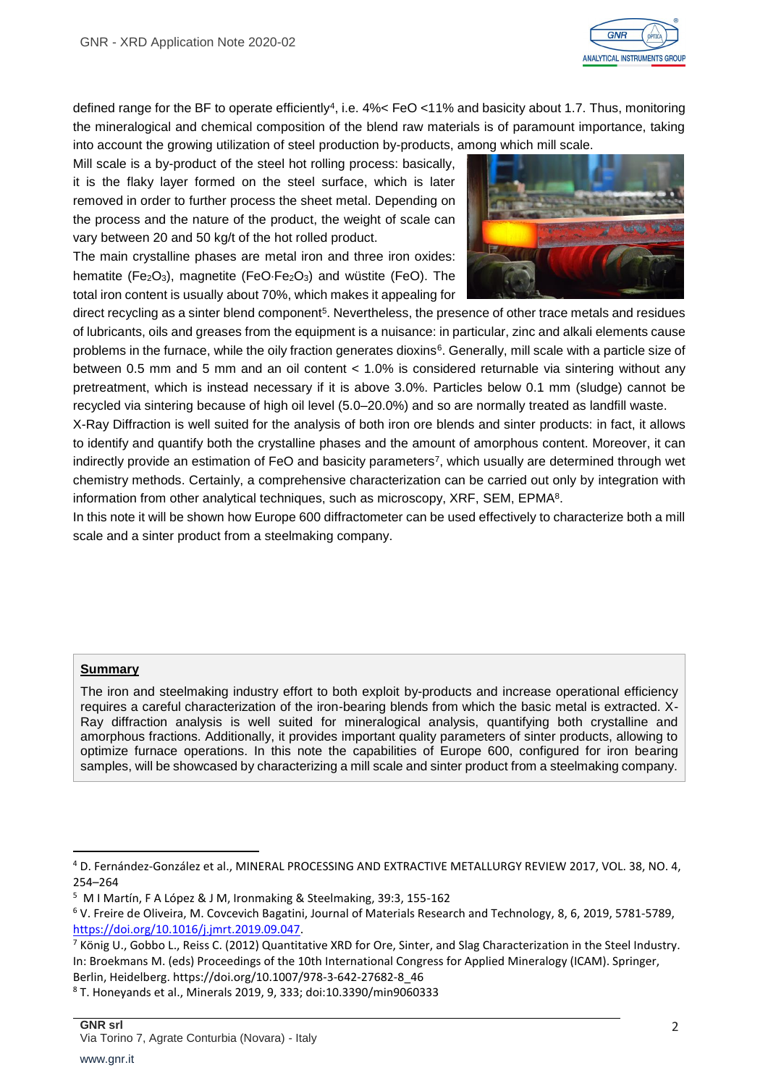

defined range for the BF to operate efficiently<sup>4</sup>, i.e. 4%< FeO <11% and basicity about 1.7. Thus, monitoring the mineralogical and chemical composition of the blend raw materials is of paramount importance, taking into account the growing utilization of steel production by-products, among which mill scale.

Mill scale is a by-product of the steel hot rolling process: basically, it is the flaky layer formed on the steel surface, which is later removed in order to further process the sheet metal. Depending on the process and the nature of the product, the weight of scale can vary between 20 and 50 kg/t of the hot rolled product.

The main crystalline phases are metal iron and three iron oxides: hematite (Fe $2O_3$ ), magnetite (FeO·Fe $2O_3$ ) and wüstite (FeO). The total iron content is usually about 70%, which makes it appealing for



direct recycling as a sinter blend component<sup>5</sup>. Nevertheless, the presence of other trace metals and residues of lubricants, oils and greases from the equipment is a nuisance: in particular, zinc and alkali elements cause problems in the furnace, while the oily fraction generates dioxins<sup>6</sup>. Generally, mill scale with a particle size of between 0.5 mm and 5 mm and an oil content < 1.0% is considered returnable via sintering without any pretreatment, which is instead necessary if it is above 3.0%. Particles below 0.1 mm (sludge) cannot be recycled via sintering because of high oil level (5.0–20.0%) and so are normally treated as landfill waste.

X-Ray Diffraction is well suited for the analysis of both iron ore blends and sinter products: in fact, it allows to identify and quantify both the crystalline phases and the amount of amorphous content. Moreover, it can indirectly provide an estimation of FeO and basicity parameters<sup>7</sup>, which usually are determined through wet chemistry methods. Certainly, a comprehensive characterization can be carried out only by integration with information from other analytical techniques, such as microscopy, XRF, SEM, EPMA<sup>8</sup> .

In this note it will be shown how Europe 600 diffractometer can be used effectively to characterize both a mill scale and a sinter product from a steelmaking company.

## **Summary**

**.** 

The iron and steelmaking industry effort to both exploit by-products and increase operational efficiency requires a careful characterization of the iron-bearing blends from which the basic metal is extracted. X-Ray diffraction analysis is well suited for mineralogical analysis, quantifying both crystalline and amorphous fractions. Additionally, it provides important quality parameters of sinter products, allowing to optimize furnace operations. In this note the capabilities of Europe 600, configured for iron bearing samples, will be showcased by characterizing a mill scale and sinter product from a steelmaking company.

<sup>4</sup> D. Fernández-González et al., MINERAL PROCESSING AND EXTRACTIVE METALLURGY REVIEW 2017, VOL. 38, NO. 4, 254–264

<sup>5</sup> M I Martín, F A López & J M, Ironmaking & Steelmaking, 39:3, 155-162

<sup>6</sup> V. Freire de Oliveira, M. Covcevich Bagatini, Journal of Materials Research and Technology, 8, 6, 2019, 5781-5789, [https://doi.org/10.1016/j.jmrt.2019.09.047.](https://doi.org/10.1016/j.jmrt.2019.09.047)

<sup>&</sup>lt;sup>7</sup> König U., Gobbo L., Reiss C. (2012) Quantitative XRD for Ore, Sinter, and Slag Characterization in the Steel Industry. In: Broekmans M. (eds) Proceedings of the 10th International Congress for Applied Mineralogy (ICAM). Springer, Berlin, Heidelberg. https://doi.org/10.1007/978-3-642-27682-8\_46

<sup>8</sup> T. Honeyands et al., Minerals 2019, 9, 333; doi:10.3390/min9060333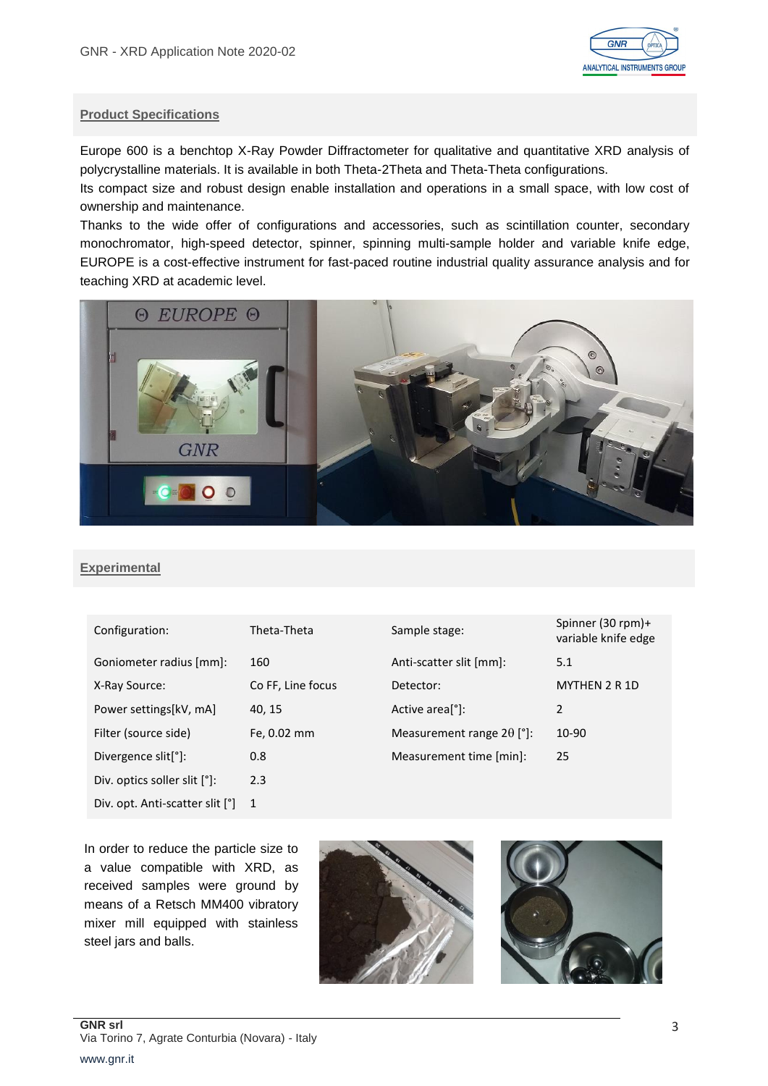

## **Product Specifications**

Europe 600 is a benchtop X-Ray Powder Diffractometer for qualitative and quantitative XRD analysis of polycrystalline materials. It is available in both Theta-2Theta and Theta-Theta configurations.

Its compact size and robust design enable installation and operations in a small space, with low cost of ownership and maintenance.

Thanks to the wide offer of configurations and accessories, such as scintillation counter, secondary monochromator, high-speed detector, spinner, spinning multi-sample holder and variable knife edge, EUROPE is a cost-effective instrument for fast-paced routine industrial quality assurance analysis and for teaching XRD at academic level.



## **Experimental**

| Theta-Theta       | Sample stage:                    | Spinn<br>variak |
|-------------------|----------------------------------|-----------------|
| 160               | Anti-scatter slit [mm]:          | 5.1             |
| Co FF, Line focus | Detector:                        | <b>MYTH</b>     |
| 40, 15            | Active area <sup>[°]</sup> :     | 2               |
| Fe, 0.02 mm       | Measurement range $2\theta$ [°]: | 10-90           |
| 0.8               | Measurement time [min]:          | 25              |
| 2.3               |                                  |                 |
| 1                 |                                  |                 |
|                   |                                  |                 |

| Configuration:                   | Theta-Theta       | Sample stage:                    | Spinner (30 rpm)+<br>variable knife edge |
|----------------------------------|-------------------|----------------------------------|------------------------------------------|
| Goniometer radius [mm]:          | 160               | Anti-scatter slit [mm]:          | 5.1                                      |
| X-Ray Source:                    | Co FF, Line focus | Detector:                        | <b>MYTHEN 2 R 1D</b>                     |
| Power settings[kV, mA]           | 40, 15            | Active area <sup>[°]</sup> :     | $\mathcal{P}$                            |
| Filter (source side)             | Fe, 0.02 mm       | Measurement range $2\theta$ [°]: | 10-90                                    |
| Divergence slit <sup>[°</sup> ]: | 0.8               | Measurement time [min]:          | 25                                       |

In order to reduce the particle size to a value compatible with XRD, as received samples were ground by means of a Retsch MM400 vibratory mixer mill equipped with stainless steel jars and balls.



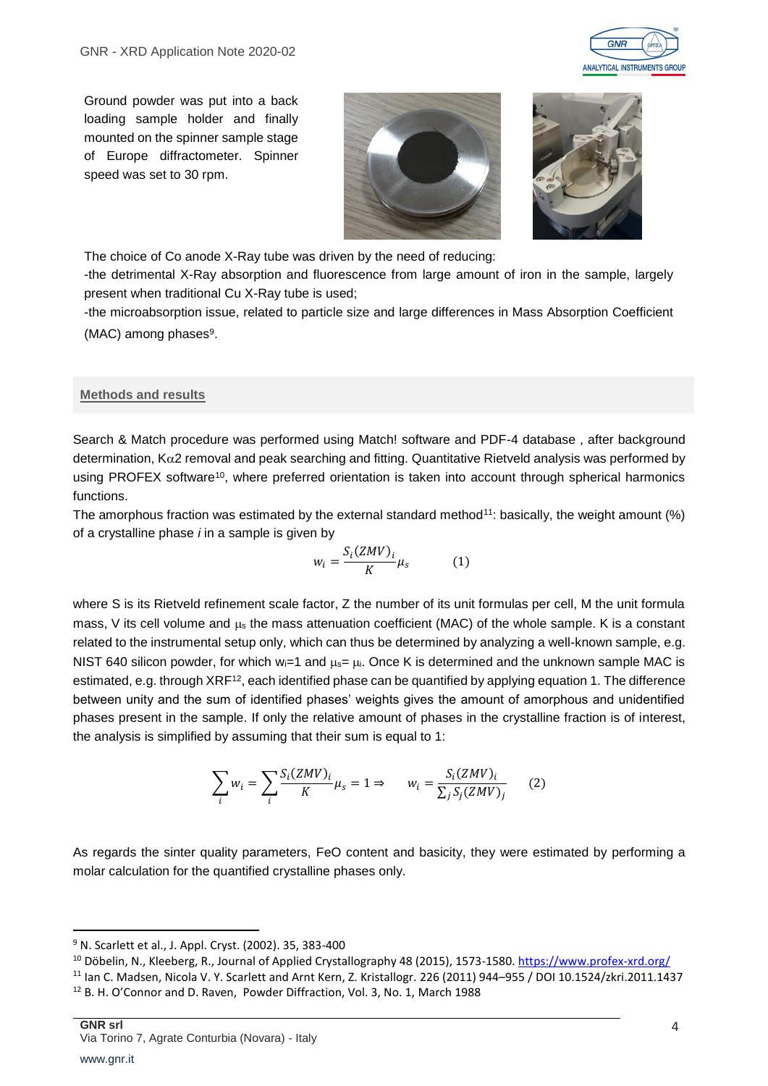

Ground powder was put into a back loading sample holder and finally mounted on the spinner sample stage of Europe diffractometer. Spinner speed was set to 30 rpm.





The choice of Co anode X-Ray tube was driven by the need of reducing:

-the detrimental X-Ray absorption and fluorescence from large amount of iron in the sample, largely present when traditional Cu X-Ray tube is used;

-the microabsorption issue, related to particle size and large differences in Mass Absorption Coefficient (MAC) among phases<sup>9</sup>.

#### **Methods and results**

Search & Match procedure was performed using Match! software and PDF-4 database , after background determination,  $K\alpha$ 2 removal and peak searching and fitting. Quantitative Rietveld analysis was performed by using PROFEX software<sup>10</sup>, where preferred orientation is taken into account through spherical harmonics functions.

The amorphous fraction was estimated by the external standard method<sup>11</sup>: basically, the weight amount (%) of a crystalline phase *i* in a sample is given by

$$
w_i = \frac{S_i(ZMV)_i}{K} \mu_s \tag{1}
$$

where S is its Rietveld refinement scale factor, Z the number of its unit formulas per cell. M the unit formula mass, V its cell volume and  $\mu_s$  the mass attenuation coefficient (MAC) of the whole sample. K is a constant related to the instrumental setup only, which can thus be determined by analyzing a well-known sample, e.g. NIST 640 silicon powder, for which  $w_i=1$  and  $\mu_s=\mu_i$ . Once K is determined and the unknown sample MAC is estimated, e.g. through XRF<sup>12</sup>, each identified phase can be quantified by applying equation 1. The difference between unity and the sum of identified phases' weights gives the amount of amorphous and unidentified phases present in the sample. If only the relative amount of phases in the crystalline fraction is of interest, the analysis is simplified by assuming that their sum is equal to 1:

$$
\sum_{i} w_i = \sum_{i} \frac{S_i(ZMV)_i}{K} \mu_s = 1 \Rightarrow \qquad w_i = \frac{S_i(ZMV)_i}{\sum_{j} S_j(ZMV)_j} \tag{2}
$$

As regards the sinter quality parameters, FeO content and basicity, they were estimated by performing a molar calculation for the quantified crystalline phases only.

**.** 

<sup>10</sup> Döbelin, N., Kleeberg, R., Journal of Applied Crystallography 48 (2015), 1573-1580. <https://www.profex-xrd.org/>

<sup>9</sup> N. Scarlett et al., J. Appl. Cryst. (2002). 35, 383-400

<sup>11</sup> Ian C. Madsen, Nicola V. Y. Scarlett and Arnt Kern, Z. Kristallogr. 226 (2011) 944–955 / DOI 10.1524/zkri.2011.1437 <sup>12</sup> B. H. O'Connor and D. Raven, Powder Diffraction, Vol. 3, No. 1, March 1988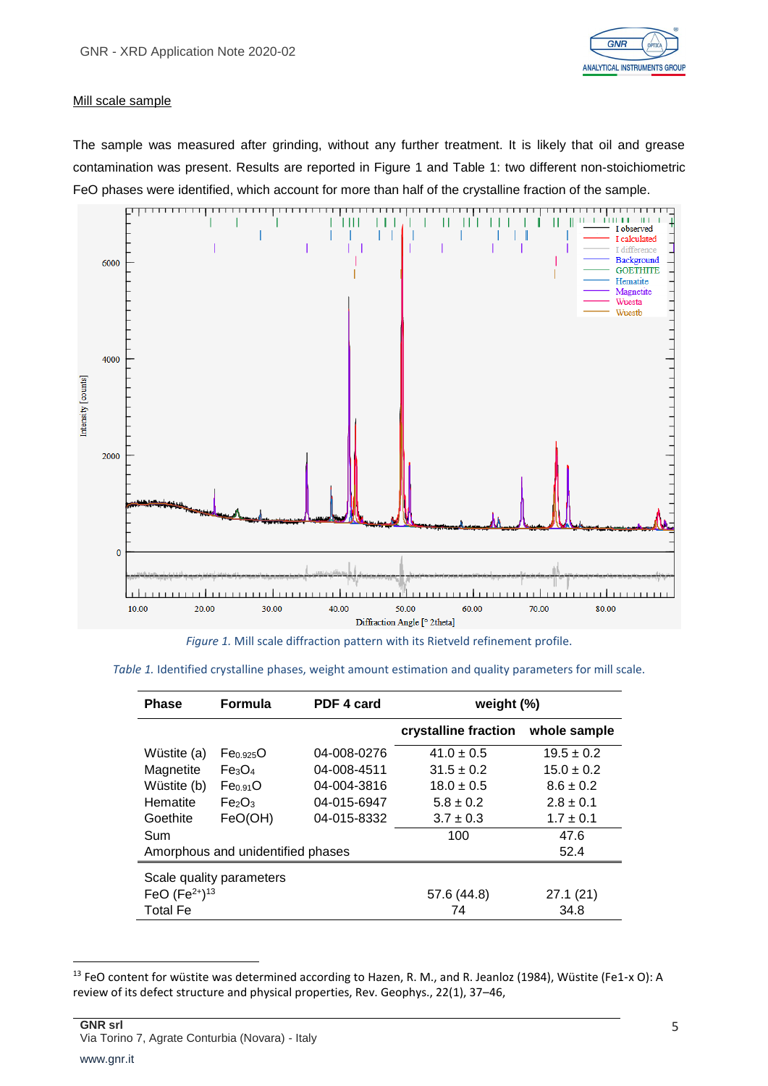

#### Mill scale sample

The sample was measured after grinding, without any further treatment. It is likely that oil and grease contamination was present. Results are reported in Figure 1 and Table 1: two different non-stoichiometric FeO phases were identified, which account for more than half of the crystalline fraction of the sample.



*Figure 1.* Mill scale diffraction pattern with its Rietveld refinement profile.

| <b>Phase</b>                      | <b>Formula</b>                 | PDF 4 card  | weight $(%)$         |                |
|-----------------------------------|--------------------------------|-------------|----------------------|----------------|
|                                   |                                |             | crystalline fraction | whole sample   |
| Wüstite (a)                       | Fe <sub>0.925</sub> O          | 04-008-0276 | $41.0 \pm 0.5$       | $19.5 \pm 0.2$ |
| Magnetite                         | Fe <sub>3</sub> O <sub>4</sub> | 04-008-4511 | $31.5 \pm 0.2$       | $15.0 \pm 0.2$ |
| Wüstite (b)                       | Fe <sub>0.91</sub> O           | 04-004-3816 | $18.0 \pm 0.5$       | $8.6 \pm 0.2$  |
| Hematite                          | Fe <sub>2</sub> O <sub>3</sub> | 04-015-6947 | $5.8 \pm 0.2$        | $2.8 \pm 0.1$  |
| Goethite                          | FeO(OH)                        | 04-015-8332 | $3.7 \pm 0.3$        | $1.7 \pm 0.1$  |
| Sum                               |                                |             | 100                  | 47.6           |
| Amorphous and unidentified phases |                                |             | 52.4                 |                |
| Scale quality parameters          |                                |             |                      |                |
| FeO $(Fe2+)13$                    |                                |             | 57.6 (44.8)          | 27.1(21)       |
| <b>Total Fe</b>                   |                                |             | 74                   | 34.8           |

**.** 

<sup>13</sup> FeO content for wüstite was determined according to Hazen, R. M., and R. Jeanloz (1984), Wüstite (Fe1-x O): A review of its defect structure and physical properties, Rev. Geophys., 22(1), 37–46,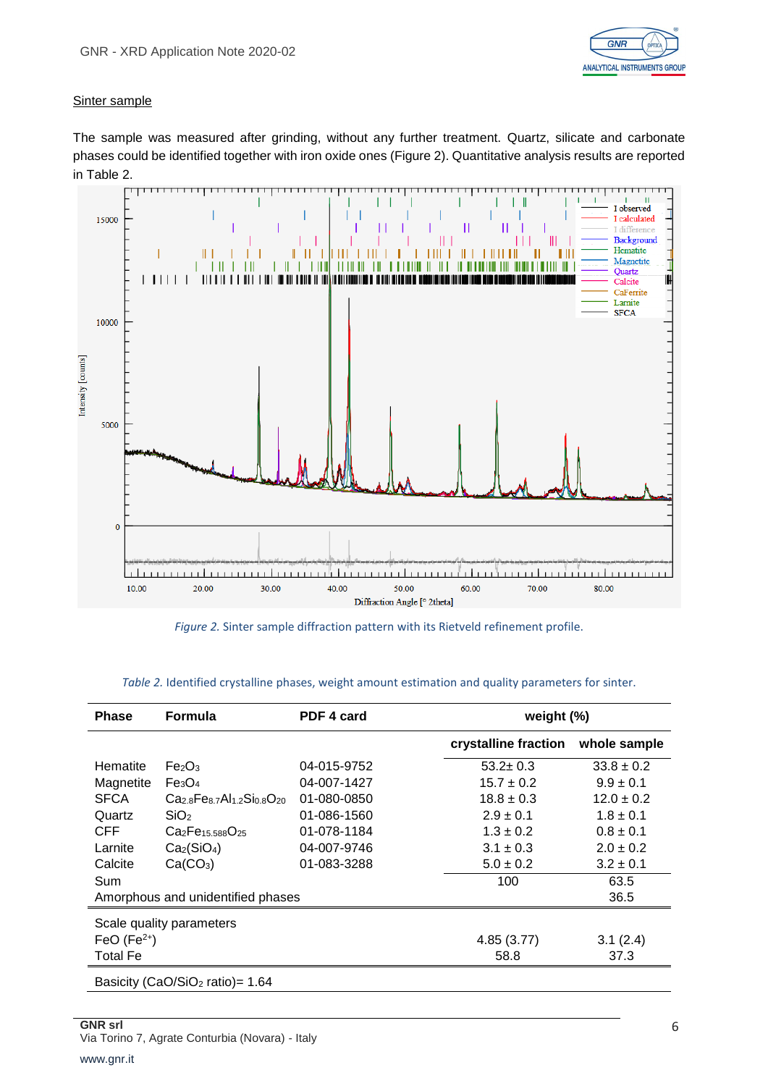

#### Sinter sample

The sample was measured after grinding, without any further treatment. Quartz, silicate and carbonate phases could be identified together with iron oxide ones (Figure 2). Quantitative analysis results are reported in Table 2.



*Figure 2.* Sinter sample diffraction pattern with its Rietveld refinement profile.

| <b>Phase</b>                                   | <b>Formula</b>                                       | PDF 4 card  | weight (%)           |                |
|------------------------------------------------|------------------------------------------------------|-------------|----------------------|----------------|
|                                                |                                                      |             | crystalline fraction | whole sample   |
| Hematite                                       | Fe <sub>2</sub> O <sub>3</sub>                       | 04-015-9752 | $53.2 \pm 0.3$       | $33.8 \pm 0.2$ |
| Magnetite                                      | Fe <sub>3</sub> O <sub>4</sub>                       | 04-007-1427 | $15.7 \pm 0.2$       | $9.9 \pm 0.1$  |
| <b>SFCA</b>                                    | $Ca2.8Fe8.7Al1.2Si0.8O20$                            | 01-080-0850 | $18.8 \pm 0.3$       | $12.0 \pm 0.2$ |
| Quartz                                         | SiO <sub>2</sub>                                     | 01-086-1560 | $2.9 \pm 0.1$        | $1.8 \pm 0.1$  |
| <b>CFF</b>                                     | Ca <sub>2</sub> Fe <sub>15.588</sub> O <sub>25</sub> | 01-078-1184 | $1.3 \pm 0.2$        | $0.8 \pm 0.1$  |
| Larnite                                        | Ca <sub>2</sub> (SiO <sub>4</sub> )                  | 04-007-9746 | $3.1 \pm 0.3$        | $2.0 \pm 0.2$  |
| Calcite                                        | Ca(CO <sub>3</sub> )                                 | 01-083-3288 | $5.0 \pm 0.2$        | $3.2 \pm 0.1$  |
| Sum                                            |                                                      |             | 100                  | 63.5           |
| Amorphous and unidentified phases              |                                                      |             | 36.5                 |                |
| Scale quality parameters                       |                                                      |             |                      |                |
| FeO $(Fe2+)$                                   |                                                      |             | 4.85(3.77)           | 3.1(2.4)       |
| <b>Total Fe</b>                                |                                                      |             | 58.8                 | 37.3           |
| Basicity (CaO/SiO <sub>2</sub> ratio) = $1.64$ |                                                      |             |                      |                |

#### *Table 2.* Identified crystalline phases, weight amount estimation and quality parameters for sinter.